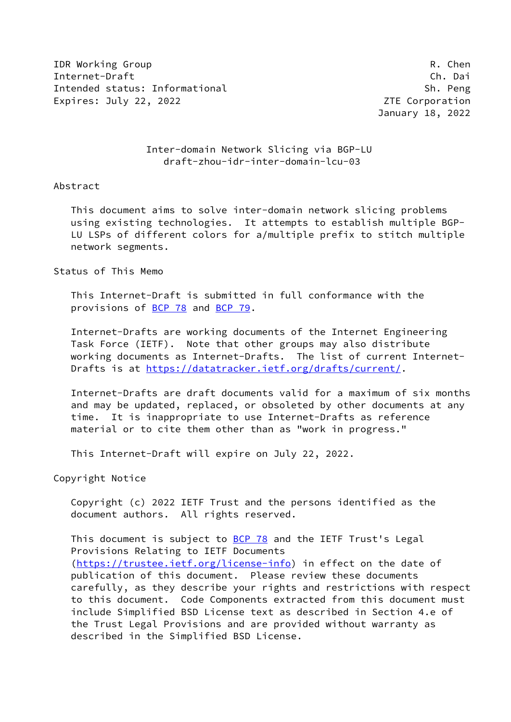IDR Working Group **R. Chender Communist Communist Communist Communist Communist Communist Communist Communist Communist Communist Communist Communist Communist Communist Communist Communist Communist Communist Communist Co** Internet-Draft Ch. Dai Intended status: Informational Sh. Peng Expires: July 22, 2022 **ZTE** Corporation

January 18, 2022

## Inter-domain Network Slicing via BGP-LU draft-zhou-idr-inter-domain-lcu-03

### Abstract

 This document aims to solve inter-domain network slicing problems using existing technologies. It attempts to establish multiple BGP- LU LSPs of different colors for a/multiple prefix to stitch multiple network segments.

#### Status of This Memo

 This Internet-Draft is submitted in full conformance with the provisions of [BCP 78](https://datatracker.ietf.org/doc/pdf/bcp78) and [BCP 79](https://datatracker.ietf.org/doc/pdf/bcp79).

 Internet-Drafts are working documents of the Internet Engineering Task Force (IETF). Note that other groups may also distribute working documents as Internet-Drafts. The list of current Internet- Drafts is at<https://datatracker.ietf.org/drafts/current/>.

 Internet-Drafts are draft documents valid for a maximum of six months and may be updated, replaced, or obsoleted by other documents at any time. It is inappropriate to use Internet-Drafts as reference material or to cite them other than as "work in progress."

This Internet-Draft will expire on July 22, 2022.

Copyright Notice

 Copyright (c) 2022 IETF Trust and the persons identified as the document authors. All rights reserved.

This document is subject to **[BCP 78](https://datatracker.ietf.org/doc/pdf/bcp78)** and the IETF Trust's Legal Provisions Relating to IETF Documents [\(https://trustee.ietf.org/license-info](https://trustee.ietf.org/license-info)) in effect on the date of publication of this document. Please review these documents carefully, as they describe your rights and restrictions with respect to this document. Code Components extracted from this document must include Simplified BSD License text as described in Section 4.e of the Trust Legal Provisions and are provided without warranty as described in the Simplified BSD License.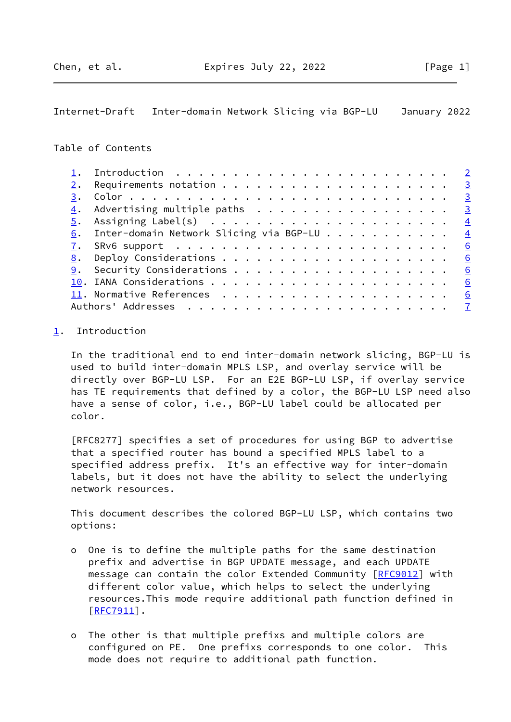<span id="page-1-1"></span>Internet-Draft Inter-domain Network Slicing via BGP-LU January 2022

# Table of Contents

| 2. | Requirements notation $\cdots$ 3                                      |                         |
|----|-----------------------------------------------------------------------|-------------------------|
| 3. |                                                                       | $\overline{\mathbf{3}}$ |
|    | $\underline{4}$ . Advertising multiple paths 3                        |                         |
| 5. | Assigning Label(s) $\ldots \ldots \ldots \ldots \ldots \ldots \ldots$ |                         |
|    | 6. Inter-domain Network Slicing via BGP-LU $\frac{4}{5}$              |                         |
|    |                                                                       |                         |
|    |                                                                       | 6                       |
|    |                                                                       | 6                       |
|    |                                                                       | 6                       |
|    |                                                                       | 6                       |
|    |                                                                       | $\overline{7}$          |
|    |                                                                       |                         |

# <span id="page-1-0"></span>[1](#page-1-0). Introduction

 In the traditional end to end inter-domain network slicing, BGP-LU is used to build inter-domain MPLS LSP, and overlay service will be directly over BGP-LU LSP. For an E2E BGP-LU LSP, if overlay service has TE requirements that defined by a color, the BGP-LU LSP need also have a sense of color, i.e., BGP-LU label could be allocated per color.

 [RFC8277] specifies a set of procedures for using BGP to advertise that a specified router has bound a specified MPLS label to a specified address prefix. It's an effective way for inter-domain labels, but it does not have the ability to select the underlying network resources.

 This document describes the colored BGP-LU LSP, which contains two options:

- o One is to define the multiple paths for the same destination prefix and advertise in BGP UPDATE message, and each UPDATE message can contain the color Extended Community [\[RFC9012](https://datatracker.ietf.org/doc/pdf/rfc9012)] with different color value, which helps to select the underlying resources.This mode require additional path function defined in [[RFC7911\]](https://datatracker.ietf.org/doc/pdf/rfc7911).
- o The other is that multiple prefixs and multiple colors are configured on PE. One prefixs corresponds to one color. This mode does not require to additional path function.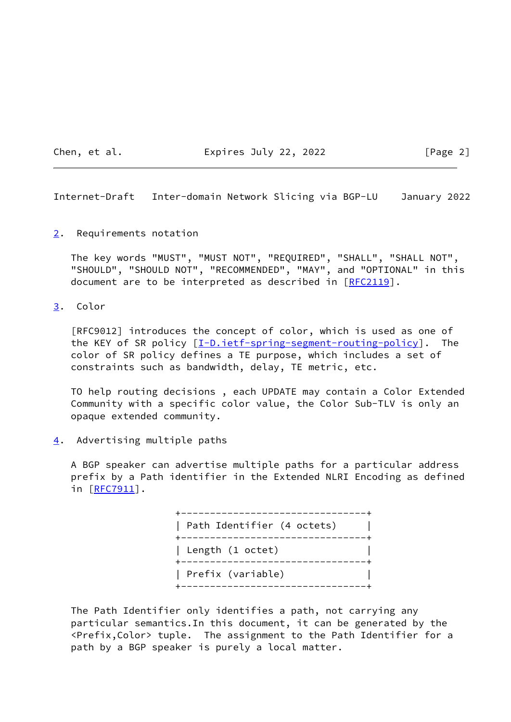Chen, et al. **Expires July 22, 2022** [Page 2]

<span id="page-2-1"></span>Internet-Draft Inter-domain Network Slicing via BGP-LU January 2022

<span id="page-2-0"></span>[2](#page-2-0). Requirements notation

 The key words "MUST", "MUST NOT", "REQUIRED", "SHALL", "SHALL NOT", "SHOULD", "SHOULD NOT", "RECOMMENDED", "MAY", and "OPTIONAL" in this document are to be interpreted as described in [\[RFC2119](https://datatracker.ietf.org/doc/pdf/rfc2119)].

<span id="page-2-2"></span>[3](#page-2-2). Color

 [RFC9012] introduces the concept of color, which is used as one of the KEY of SR policy  $[I-D.iett-spring-segment-routine-policy]$ . The color of SR policy defines a TE purpose, which includes a set of constraints such as bandwidth, delay, TE metric, etc.

 TO help routing decisions , each UPDATE may contain a Color Extended Community with a specific color value, the Color Sub-TLV is only an opaque extended community.

<span id="page-2-3"></span>[4](#page-2-3). Advertising multiple paths

 A BGP speaker can advertise multiple paths for a particular address prefix by a Path identifier in the Extended NLRI Encoding as defined in [[RFC7911\]](https://datatracker.ietf.org/doc/pdf/rfc7911).

> +--------------------------------+ | Path Identifier (4 octets) | +--------------------------------+ | Length (1 octet) | +--------------------------------+ | Prefix (variable) | +--------------------------------+

 The Path Identifier only identifies a path, not carrying any particular semantics.In this document, it can be generated by the <Prefix,Color> tuple. The assignment to the Path Identifier for a path by a BGP speaker is purely a local matter.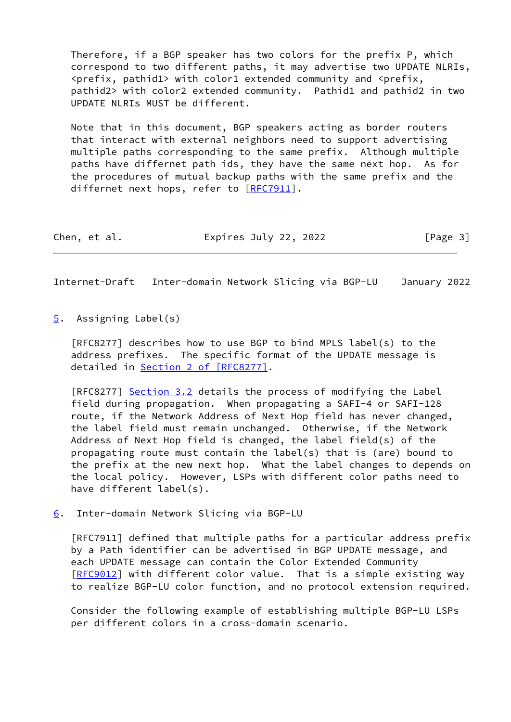Therefore, if a BGP speaker has two colors for the prefix P, which correspond to two different paths, it may advertise two UPDATE NLRIs,  $\epsilon$ prefix, pathid1> with color1 extended community and  $\epsilon$ prefix, pathid2> with color2 extended community. Pathid1 and pathid2 in two UPDATE NLRIs MUST be different.

 Note that in this document, BGP speakers acting as border routers that interact with external neighbors need to support advertising multiple paths corresponding to the same prefix. Although multiple paths have differnet path ids, they have the same next hop. As for the procedures of mutual backup paths with the same prefix and the differnet next hops, refer to [[RFC7911](https://datatracker.ietf.org/doc/pdf/rfc7911)].

| Chen, et al. |  | Expires July 22, 2022 | [Page 3] |  |
|--------------|--|-----------------------|----------|--|
|--------------|--|-----------------------|----------|--|

<span id="page-3-1"></span>Internet-Draft Inter-domain Network Slicing via BGP-LU January 2022

<span id="page-3-0"></span>[5](#page-3-0). Assigning Label(s)

 [RFC8277] describes how to use BGP to bind MPLS label(s) to the address prefixes. The specific format of the UPDATE message is detailed in Section [2 of \[RFC8277\]](https://datatracker.ietf.org/doc/pdf/rfc8277#section-2).

[RFC8277] Section 3.2 details the process of modifying the Label field during propagation. When propagating a SAFI-4 or SAFI-128 route, if the Network Address of Next Hop field has never changed, the label field must remain unchanged. Otherwise, if the Network Address of Next Hop field is changed, the label field(s) of the propagating route must contain the label(s) that is (are) bound to the prefix at the new next hop. What the label changes to depends on the local policy. However, LSPs with different color paths need to have different label(s).

<span id="page-3-2"></span>[6](#page-3-2). Inter-domain Network Slicing via BGP-LU

 [RFC7911] defined that multiple paths for a particular address prefix by a Path identifier can be advertised in BGP UPDATE message, and each UPDATE message can contain the Color Extended Community [\[RFC9012](https://datatracker.ietf.org/doc/pdf/rfc9012)] with different color value. That is a simple existing way to realize BGP-LU color function, and no protocol extension required.

 Consider the following example of establishing multiple BGP-LU LSPs per different colors in a cross-domain scenario.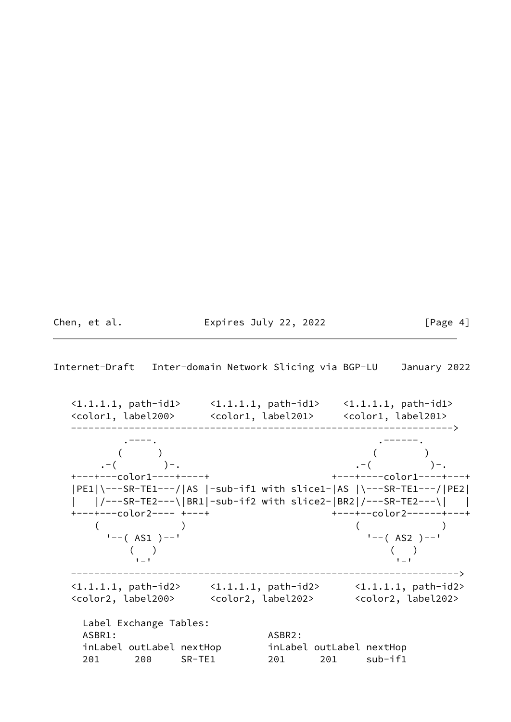Chen, et al. **Expires July 22, 2022** [Page 4]

Internet-Draft Inter-domain Network Slicing via BGP-LU January 2022

 <1.1.1.1, path-id1> <1.1.1.1, path-id1> <1.1.1.1, path-id1> <color1, label200> <color1, label201> <color1, label201> ------------------------------------------------------------------> . The contract of the contract of the contract of the contract of the contract of  $\mathcal{L}$  $($  ) and  $($  )  $. -$ ( )-.  $. -$  .-( )-. +---+---color1----+----+ +---+----color1----+---+ |PE1|\---SR-TE1---/|AS |-sub-if1 with slice1-|AS |\---SR-TE1---/|PE2| | |/---SR-TE2---\|BR1|-sub-if2 with slice2-|BR2|/---SR-TE2---\| | +---+---color2---- +---+ +---+--color2------+---+  $($  ) ( ) '--( AS1 )--' '--( AS2 )--'  $($  ) and ( ) and ( )  $-1$  -  $-1$  -  $-1$  -  $-1$  -  $-1$  -  $-1$  -  $-1$  -  $-1$  -  $-1$  -  $-1$  -  $-1$  -  $-1$  -------------------------------------------------------------------> <1.1.1.1, path-id2> <1.1.1.1, path-id2> <1.1.1.1, path-id2> <color2, label200> <color2, label202> <color2, label202> Label Exchange Tables: ASBR1: ASBR2: inLabel outLabel nextHop inLabel outLabel nextHop 201 200 SR-TE1 201 201 sub-if1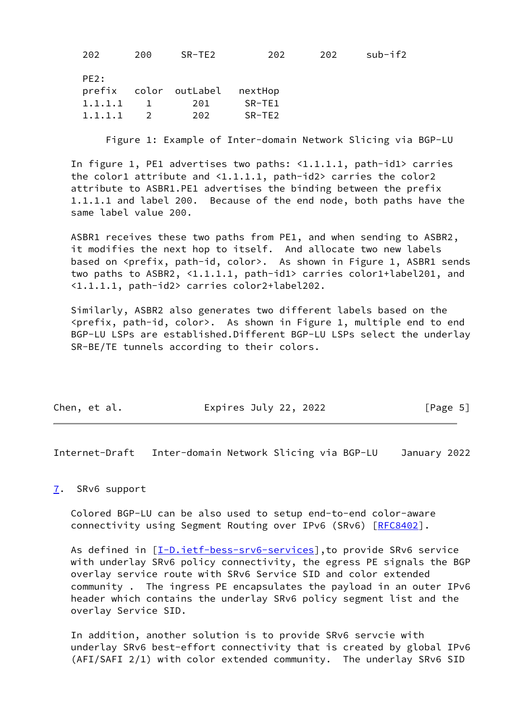202 200 SR-TE2 202 202 sub-if2

| PE <sub>2</sub> : |         |           |                       |          |  |
|-------------------|---------|-----------|-----------------------|----------|--|
|                   |         |           | prefix color outLabel | nextHop  |  |
|                   | 1.1.1.1 | $\sim$ 1. | 201                   | SR-TE1   |  |
|                   | 1.1.1.1 |           | 202                   | $SR-TE2$ |  |

Figure 1: Example of Inter-domain Network Slicing via BGP-LU

 In figure 1, PE1 advertises two paths: <1.1.1.1, path-id1> carries the color1 attribute and  $\langle 1.1.1.1,$  path-id2> carries the color2 attribute to ASBR1.PE1 advertises the binding between the prefix 1.1.1.1 and label 200. Because of the end node, both paths have the same label value 200.

 ASBR1 receives these two paths from PE1, and when sending to ASBR2, it modifies the next hop to itself. And allocate two new labels based on <prefix, path-id, color>. As shown in Figure 1, ASBR1 sends two paths to ASBR2, <1.1.1.1, path-id1> carries color1+label201, and <1.1.1.1, path-id2> carries color2+label202.

 Similarly, ASBR2 also generates two different labels based on the <prefix, path-id, color>. As shown in Figure 1, multiple end to end BGP-LU LSPs are established.Different BGP-LU LSPs select the underlay SR-BE/TE tunnels according to their colors.

| Chen, et al. | Expires July 22, 2022 | [Page 5] |
|--------------|-----------------------|----------|
|              |                       |          |

<span id="page-5-1"></span>Internet-Draft Inter-domain Network Slicing via BGP-LU January 2022

#### <span id="page-5-0"></span>[7](#page-5-0). SRv6 support

 Colored BGP-LU can be also used to setup end-to-end color-aware connectivity using Segment Routing over IPv6 (SRv6) [\[RFC8402](https://datatracker.ietf.org/doc/pdf/rfc8402)].

As defined in  $[I-D.iett-bess-srv6-services]$ , to provide SRv6 service with underlay SRv6 policy connectivity, the egress PE signals the BGP overlay service route with SRv6 Service SID and color extended community . The ingress PE encapsulates the payload in an outer IPv6 header which contains the underlay SRv6 policy segment list and the overlay Service SID.

 In addition, another solution is to provide SRv6 servcie with underlay SRv6 best-effort connectivity that is created by global IPv6 (AFI/SAFI 2/1) with color extended community. The underlay SRv6 SID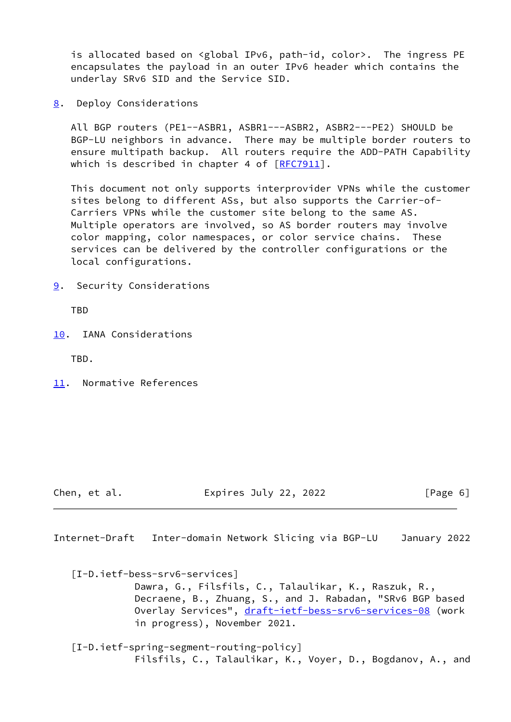is allocated based on <global IPv6, path-id, color>. The ingress PE encapsulates the payload in an outer IPv6 header which contains the underlay SRv6 SID and the Service SID.

<span id="page-6-0"></span>[8](#page-6-0). Deploy Considerations

 All BGP routers (PE1--ASBR1, ASBR1---ASBR2, ASBR2---PE2) SHOULD be BGP-LU neighbors in advance. There may be multiple border routers to ensure multipath backup. All routers require the ADD-PATH Capability which is described in chapter 4 of  $[RFC7911]$  $[RFC7911]$ .

 This document not only supports interprovider VPNs while the customer sites belong to different ASs, but also supports the Carrier-of- Carriers VPNs while the customer site belong to the same AS. Multiple operators are involved, so AS border routers may involve color mapping, color namespaces, or color service chains. These services can be delivered by the controller configurations or the local configurations.

<span id="page-6-1"></span>[9](#page-6-1). Security Considerations

TBD

<span id="page-6-2"></span>[10.](#page-6-2) IANA Considerations

TBD.

<span id="page-6-3"></span>[11.](#page-6-3) Normative References

Chen, et al. Expires July 22, 2022 [Page 6]

<span id="page-6-4"></span>Internet-Draft Inter-domain Network Slicing via BGP-LU January 2022

<span id="page-6-6"></span> [I-D.ietf-bess-srv6-services] Dawra, G., Filsfils, C., Talaulikar, K., Raszuk, R., Decraene, B., Zhuang, S., and J. Rabadan, "SRv6 BGP based Overlay Services", [draft-ietf-bess-srv6-services-08](https://datatracker.ietf.org/doc/pdf/draft-ietf-bess-srv6-services-08) (work in progress), November 2021.

<span id="page-6-5"></span> [I-D.ietf-spring-segment-routing-policy] Filsfils, C., Talaulikar, K., Voyer, D., Bogdanov, A., and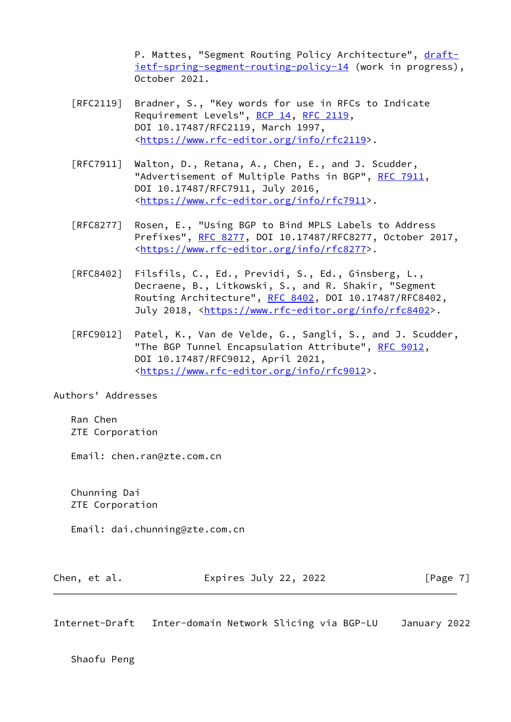P. Mattes, "Segment Routing Policy Architecture", [draft](https://datatracker.ietf.org/doc/pdf/draft-ietf-spring-segment-routing-policy-14) [ietf-spring-segment-routing-policy-14](https://datatracker.ietf.org/doc/pdf/draft-ietf-spring-segment-routing-policy-14) (work in progress), October 2021.

- [RFC2119] Bradner, S., "Key words for use in RFCs to Indicate Requirement Levels", [BCP 14](https://datatracker.ietf.org/doc/pdf/bcp14), [RFC 2119](https://datatracker.ietf.org/doc/pdf/rfc2119), DOI 10.17487/RFC2119, March 1997, <[https://www.rfc-editor.org/info/rfc2119>](https://www.rfc-editor.org/info/rfc2119).
- [RFC7911] Walton, D., Retana, A., Chen, E., and J. Scudder, "Advertisement of Multiple Paths in BGP", [RFC 7911](https://datatracker.ietf.org/doc/pdf/rfc7911), DOI 10.17487/RFC7911, July 2016, <[https://www.rfc-editor.org/info/rfc7911>](https://www.rfc-editor.org/info/rfc7911).
- [RFC8277] Rosen, E., "Using BGP to Bind MPLS Labels to Address Prefixes", [RFC 8277](https://datatracker.ietf.org/doc/pdf/rfc8277), DOI 10.17487/RFC8277, October 2017, <[https://www.rfc-editor.org/info/rfc8277>](https://www.rfc-editor.org/info/rfc8277).
- [RFC8402] Filsfils, C., Ed., Previdi, S., Ed., Ginsberg, L., Decraene, B., Litkowski, S., and R. Shakir, "Segment Routing Architecture", [RFC 8402](https://datatracker.ietf.org/doc/pdf/rfc8402), DOI 10.17487/RFC8402, July 2018, <<https://www.rfc-editor.org/info/rfc8402>>.
- [RFC9012] Patel, K., Van de Velde, G., Sangli, S., and J. Scudder, "The BGP Tunnel Encapsulation Attribute", [RFC 9012](https://datatracker.ietf.org/doc/pdf/rfc9012), DOI 10.17487/RFC9012, April 2021, <[https://www.rfc-editor.org/info/rfc9012>](https://www.rfc-editor.org/info/rfc9012).

Authors' Addresses

 Ran Chen ZTE Corporation

Email: chen.ran@zte.com.cn

 Chunning Dai ZTE Corporation

Email: dai.chunning@zte.com.cn

| Chen, et al. | Expires July 22, 2022 | [Page 7] |
|--------------|-----------------------|----------|
|--------------|-----------------------|----------|

Internet-Draft Inter-domain Network Slicing via BGP-LU January 2022

Shaofu Peng